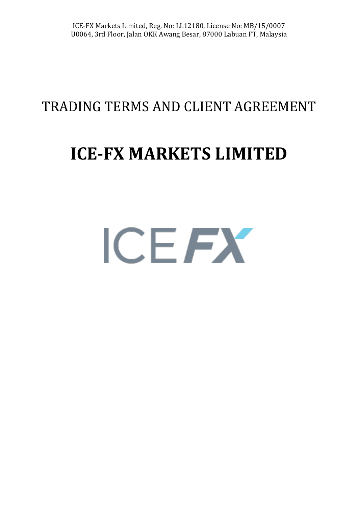### TRADING TERMS AND CLIENT AGREEMENT

# **ICE-FX MARKETS LIMITED**

# ICEFX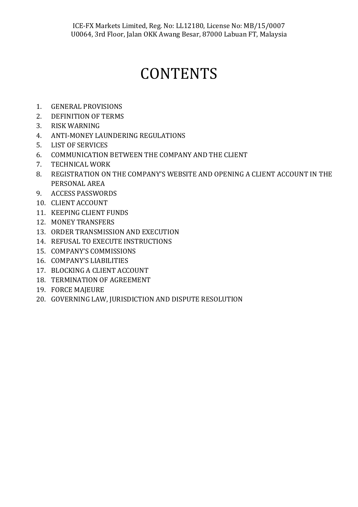## **CONTENTS**

- 1. GENERAL PROVISIONS
- 2. DEFINITION OF TERMS
- 3. RISK WARNING
- 4. ANTI-MONEY LAUNDERING REGULATIONS
- 5. LIST OF SERVICES
- 6. COMMUNICATION BETWEEN THE COMPANY AND THE CLIENT
- 7. TECHNICAL WORK
- 8. REGISTRATION ON THE COMPANY'S WEBSITE AND OPENING A CLIENT ACCOUNT IN THE PERSONAL AREA
- 9. ACCESS PASSWORDS
- 10. CLIENT ACCOUNT
- 11. KEEPING CLIENT FUNDS
- 12. MONEY TRANSFERS
- 13. ORDER TRANSMISSION AND EXECUTION
- 14. REFUSAL TO EXECUTE INSTRUCTIONS
- 15. COMPANY'S COMMISSIONS
- 16. COMPANY'S LIABILITIES
- 17. BLOCKING A CLIENT ACCOUNT
- 18. TERMINATION OF AGREEMENT
- 19. FORCE MAJEURE
- 20. GOVERNING LAW, JURISDICTION AND DISPUTE RESOLUTION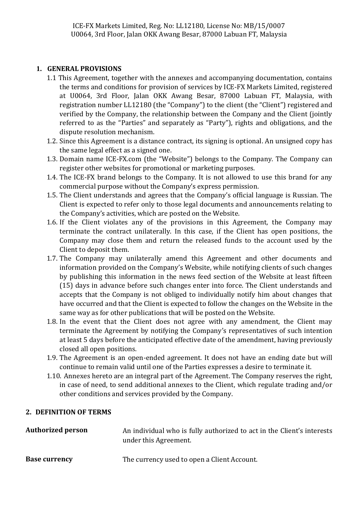#### **1. GENERAL PROVISIONS**

- 1.1 This Agreement, together with the annexes and accompanying documentation, contains the terms and conditions for provision of services by ICE-FX Markets Limited, registered at U0064, 3rd Floor, Jalan OKK Awang Besar, 87000 Labuan FT, Malaysia, with registration number LL12180 (the "Company") to the client (the "Client") registered and verified by the Company, the relationship between the Company and the Client (jointly referred to as the "Parties" and separately as "Party"), rights and obligations, and the dispute resolution mechanism.
- 1.2. Since this Agreement is a distance contract, its signing is optional. An unsigned copy has the same legal effect as a signed one.
- 1.3. Domain name ICE-FX.com (the "Website") belongs to the Company. The Company can register other websites for promotional or marketing purposes.
- 1.4. The ICE-FX brand belongs to the Company. It is not allowed to use this brand for any commercial purpose without the Company's express permission.
- 1.5. The Client understands and agrees that the Company's official language is Russian. The Client is expected to refer only to those legal documents and announcements relating to the Company's activities, which are posted on the Website.
- 1.6. If the Client violates any of the provisions in this Agreement, the Company may terminate the contract unilaterally. In this case, if the Client has open positions, the Company may close them and return the released funds to the account used by the Client to deposit them.
- 1.7. The Company may unilaterally amend this Agreement and other documents and information provided on the Company's Website, while notifying clients of such changes by publishing this information in the news feed section of the Website at least fifteen (15) days in advance before such changes enter into force. The Client understands and accepts that the Company is not obliged to individually notify him about changes that have occurred and that the Client is expected to follow the changes on the Website in the same way as for other publications that will be posted on the Website.
- 1.8. In the event that the Client does not agree with any amendment, the Client may terminate the Agreement by notifying the Company's representatives of such intention at least 5 days before the anticipated effective date of the amendment, having previously closed all open positions.
- 1.9. The Agreement is an open-ended agreement. It does not have an ending date but will continue to remain valid until one of the Parties expresses a desire to terminate it.
- 1.10. Annexes hereto are an integral part of the Agreement. The Company reserves the right, in case of need, to send additional annexes to the Client, which regulate trading and/or other conditions and services provided by the Company.

#### **2. DEFINITION OF TERMS**

| <b>Authorized person</b> | An individual who is fully authorized to act in the Client's interests<br>under this Agreement. |
|--------------------------|-------------------------------------------------------------------------------------------------|
| <b>Base currency</b>     | The currency used to open a Client Account.                                                     |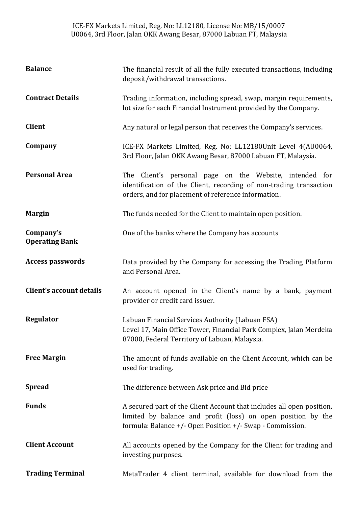ICE-FX Markets Limited, Reg. No: LL12180, License No: MB/15/0007 U0064, 3rd Floor, Jalan OKK Awang Besar, 87000 Labuan FT, Malaysia

| <b>Balance</b>                     | The financial result of all the fully executed transactions, including<br>deposit/withdrawal transactions.                                                                                             |
|------------------------------------|--------------------------------------------------------------------------------------------------------------------------------------------------------------------------------------------------------|
| <b>Contract Details</b>            | Trading information, including spread, swap, margin requirements,<br>lot size for each Financial Instrument provided by the Company.                                                                   |
| <b>Client</b>                      | Any natural or legal person that receives the Company's services.                                                                                                                                      |
| Company                            | ICE-FX Markets Limited, Reg. No: LL12180Unit Level 4(AU0064,<br>3rd Floor, Jalan OKK Awang Besar, 87000 Labuan FT, Malaysia.                                                                           |
| <b>Personal Area</b>               | The Client's personal page on the Website, intended for<br>identification of the Client, recording of non-trading transaction<br>orders, and for placement of reference information.                   |
| <b>Margin</b>                      | The funds needed for the Client to maintain open position.                                                                                                                                             |
| Company's<br><b>Operating Bank</b> | One of the banks where the Company has accounts                                                                                                                                                        |
| <b>Access passwords</b>            | Data provided by the Company for accessing the Trading Platform<br>and Personal Area.                                                                                                                  |
| <b>Client's account details</b>    | An account opened in the Client's name by a bank, payment<br>provider or credit card issuer.                                                                                                           |
| Regulator                          | Labuan Financial Services Authority (Labuan FSA)<br>Level 17, Main Office Tower, Financial Park Complex, Jalan Merdeka<br>87000, Federal Territory of Labuan, Malaysia.                                |
| <b>Free Margin</b>                 | The amount of funds available on the Client Account, which can be<br>used for trading.                                                                                                                 |
| <b>Spread</b>                      | The difference between Ask price and Bid price                                                                                                                                                         |
| <b>Funds</b>                       | A secured part of the Client Account that includes all open position,<br>limited by balance and profit (loss) on open position by the<br>formula: Balance $+/-$ Open Position $+/-$ Swap - Commission. |
| <b>Client Account</b>              | All accounts opened by the Company for the Client for trading and<br>investing purposes.                                                                                                               |
| <b>Trading Terminal</b>            | MetaTrader 4 client terminal, available for download from the                                                                                                                                          |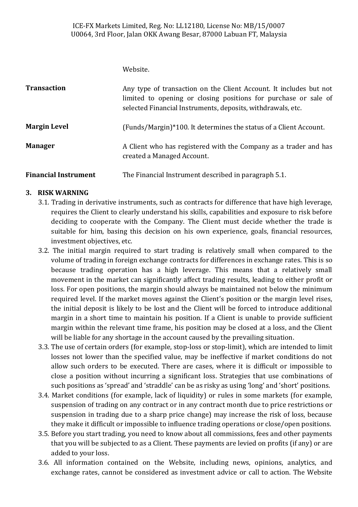Website.

| <b>Transaction</b>          | Any type of transaction on the Client Account. It includes but not<br>limited to opening or closing positions for purchase or sale of<br>selected Financial Instruments, deposits, withdrawals, etc. |
|-----------------------------|------------------------------------------------------------------------------------------------------------------------------------------------------------------------------------------------------|
| <b>Margin Level</b>         | (Funds/Margin)*100. It determines the status of a Client Account.                                                                                                                                    |
| <b>Manager</b>              | A Client who has registered with the Company as a trader and has<br>created a Managed Account.                                                                                                       |
| <b>Financial Instrument</b> | The Financial Instrument described in paragraph 5.1.                                                                                                                                                 |

#### **3. RISK WARNING**

- 3.1. Trading in derivative instruments, such as contracts for difference that have high leverage, requires the Client to clearly understand his skills, capabilities and exposure to risk before deciding to cooperate with the Company. The Client must decide whether the trade is suitable for him, basing this decision on his own experience, goals, financial resources, investment objectives, etc.
- 3.2. The initial margin required to start trading is relatively small when compared to the volume of trading in foreign exchange contracts for differences in exchange rates. This is so because trading operation has a high leverage. This means that a relatively small movement in the market can significantly affect trading results, leading to either profit or loss. For open positions, the margin should always be maintained not below the minimum required level. If the market moves against the Client's position or the margin level rises, the initial deposit is likely to be lost and the Client will be forced to introduce additional margin in a short time to maintain his position. If a Client is unable to provide sufficient margin within the relevant time frame, his position may be closed at a loss, and the Client will be liable for any shortage in the account caused by the prevailing situation.
- 3.3. The use of certain orders (for example, stop-loss or stop-limit), which are intended to limit losses not lower than the specified value, may be ineffective if market conditions do not allow such orders to be executed. There are cases, where it is difficult or impossible to close a position without incurring a significant loss. Strategies that use combinations of such positions as 'spread' and 'straddle' can be as risky as using 'long' and 'short' positions.
- 3.4. Market conditions (for example, lack of liquidity) or rules in some markets (for example, suspension of trading on any contract or in any contract month due to price restrictions or suspension in trading due to a sharp price change) may increase the risk of loss, because they make it difficult or impossible to influence trading operations or close/open positions.
- 3.5. Before you start trading, you need to know about all commissions, fees and other payments that you will be subjected to as a Client. These payments are levied on profits (if any) or are added to your loss.
- 3.6. All information contained on the Website, including news, opinions, analytics, and exchange rates, cannot be considered as investment advice or call to action. The Website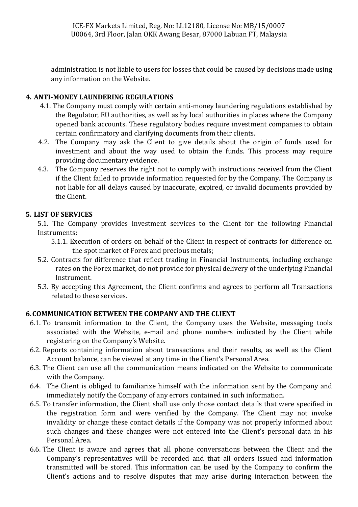administration is not liable to users for losses that could be caused by decisions made using any information on the Website.

#### **4. ANTI-MONEY LAUNDERING REGULATIONS**

- 4.1. The Company must comply with certain anti-money laundering regulations established by the Regulator, EU authorities, as well as by local authorities in places where the Company opened bank accounts. These regulatory bodies require investment companies to obtain certain confirmatory and clarifying documents from their clients.
- 4.2. The Company may ask the Client to give details about the origin of funds used for investment and about the way used to obtain the funds. This process may require providing documentary evidence.
- 4.3. The Company reserves the right not to comply with instructions received from the Client if the Client failed to provide information requested for by the Company. The Company is not liable for all delays caused by inaccurate, expired, or invalid documents provided by the Client.

#### **5. LIST OF SERVICES**

5.1. The Company provides investment services to the Client for the following Financial Instruments:

- 5.1.1. Execution of orders on behalf of the Client in respect of contracts for difference on the spot market of Forex and precious metals;
- 5.2. Contracts for difference that reflect trading in Financial Instruments, including exchange rates on the Forex market, do not provide for physical delivery of the underlying Financial Instrument.
- 5.3. By accepting this Agreement, the Client confirms and agrees to perform all Transactions related to these services.

#### **6.COMMUNICATION BETWEEN THE COMPANY AND THE CLIENT**

- 6.1. To transmit information to the Client, the Company uses the Website, messaging tools associated with the Website, e-mail and phone numbers indicated by the Client while registering on the Company's Website.
- 6.2. Reports containing information about transactions and their results, as well as the Client Account balance, can be viewed at any time in the Client's Personal Area.
- 6.3. The Client can use all the communication means indicated on the Website to communicate with the Company.
- 6.4. The Client is obliged to familiarize himself with the information sent by the Company and immediately notify the Company of any errors contained in such information.
- 6.5. To transfer information, the Client shall use only those contact details that were specified in the registration form and were verified by the Company. The Client may not invoke invalidity or change these contact details if the Company was not properly informed about such changes and these changes were not entered into the Client's personal data in his Personal Area.
- 6.6. The Client is aware and agrees that all phone conversations between the Client and the Company's representatives will be recorded and that all orders issued and information transmitted will be stored. This information can be used by the Company to confirm the Client's actions and to resolve disputes that may arise during interaction between the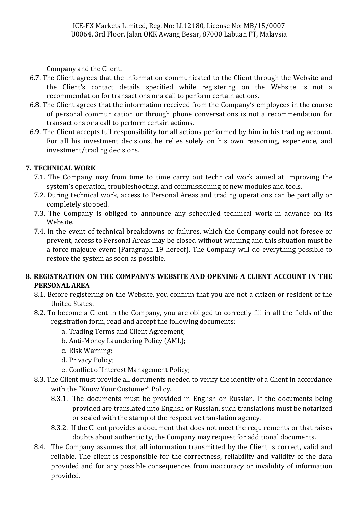Company and the Client.

- 6.7. The Client agrees that the information communicated to the Client through the Website and the Client's contact details specified while registering on the Website is not a recommendation for transactions or a call to perform certain actions.
- 6.8. The Client agrees that the information received from the Company's employees in the course of personal communication or through phone conversations is not a recommendation for transactions or a call to perform certain actions.
- 6.9. The Client accepts full responsibility for all actions performed by him in his trading account. For all his investment decisions, he relies solely on his own reasoning, experience, and investment/trading decisions.

#### **7. TECHNICAL WORK**

- 7.1. The Company may from time to time carry out technical work aimed at improving the system's operation, troubleshooting, and commissioning of new modules and tools.
- 7.2. During technical work, access to Personal Areas and trading operations can be partially or completely stopped.
- 7.3. The Company is obliged to announce any scheduled technical work in advance on its Website.
- 7.4. In the event of technical breakdowns or failures, which the Company could not foresee or prevent, access to Personal Areas may be closed without warning and this situation must be a force majeure event (Paragraph 19 hereof). The Company will do everything possible to restore the system as soon as possible.

#### **8. REGISTRATION ON THE COMPANY'S WEBSITE AND OPENING A CLIENT ACCOUNT IN THE PERSONAL AREA**

- 8.1. Before registering on the Website, you confirm that you are not a citizen or resident of the United States.
- 8.2. To become a Client in the Company, you are obliged to correctly fill in all the fields of the registration form, read and accept the following documents:
	- a. Trading Terms and Client Agreement;
	- b. Anti-Money Laundering Policy (AML);
	- c. Risk Warning;
	- d. Privacy Policy;
	- e. Conflict of Interest Management Policy;
- 8.3. The Client must provide all documents needed to verify the identity of a Client in accordance with the "Know Your Customer" Policy.
	- 8.3.1. The documents must be provided in English or Russian. If the documents being provided are translated into English or Russian, such translations must be notarized or sealed with the stamp of the respective translation agency.
	- 8.3.2. If the Client provides a document that does not meet the requirements or that raises doubts about authenticity, the Company may request for additional documents.
- 8.4. The Company assumes that all information transmitted by the Client is correct, valid and reliable. The client is responsible for the correctness, reliability and validity of the data provided and for any possible consequences from inaccuracy or invalidity of information provided.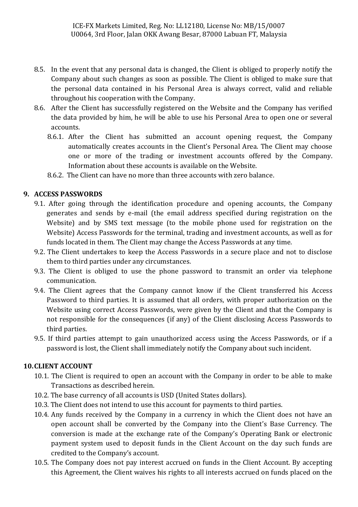- 8.5. In the event that any personal data is changed, the Client is obliged to properly notify the Company about such changes as soon as possible. The Client is obliged to make sure that the personal data contained in his Personal Area is always correct, valid and reliable throughout his cooperation with the Company.
- 8.6. After the Client has successfully registered on the Website and the Company has verified the data provided by him, he will be able to use his Personal Area to open one or several accounts.
	- 8.6.1. After the Client has submitted an account opening request, the Company automatically creates accounts in the Client's Personal Area. The Client may choose one or more of the trading or investment accounts offered by the Company. Information about these accounts is available on the Website.
	- 8.6.2. The Client can have no more than three accounts with zero balance.

#### **9. ACCESS PASSWORDS**

- 9.1. After going through the identification procedure and opening accounts, the Company generates and sends by e-mail (the email address specified during registration on the Website) and by SMS text message (to the mobile phone used for registration on the Website) Access Passwords for the terminal, trading and investment accounts, as well as for funds located in them. The Client may change the Access Passwords at any time.
- 9.2. The Client undertakes to keep the Access Passwords in a secure place and not to disclose them to third parties under any circumstances.
- 9.3. The Client is obliged to use the phone password to transmit an order via telephone communication.
- 9.4. The Client agrees that the Company cannot know if the Client transferred his Access Password to third parties. It is assumed that all orders, with proper authorization on the Website using correct Access Passwords, were given by the Client and that the Company is not responsible for the consequences (if any) of the Client disclosing Access Passwords to third parties.
- 9.5. If third parties attempt to gain unauthorized access using the Access Passwords, or if a password is lost, the Client shall immediately notify the Company about such incident.

#### **10.CLIENT ACCOUNT**

- 10.1. The Client is required to open an account with the Company in order to be able to make Transactions as described herein.
- 10.2. The base currency of all accounts is USD (United States dollars).
- 10.3. The Client does not intend to use this account for payments to third parties.
- 10.4. Any funds received by the Company in a currency in which the Client does not have an open account shall be converted by the Company into the Client's Base Currency. The conversion is made at the exchange rate of the Company's Operating Bank or electronic payment system used to deposit funds in the Client Account on the day such funds are credited to the Company's account.
- 10.5. The Company does not pay interest accrued on funds in the Client Account. By accepting this Agreement, the Client waives his rights to all interests accrued on funds placed on the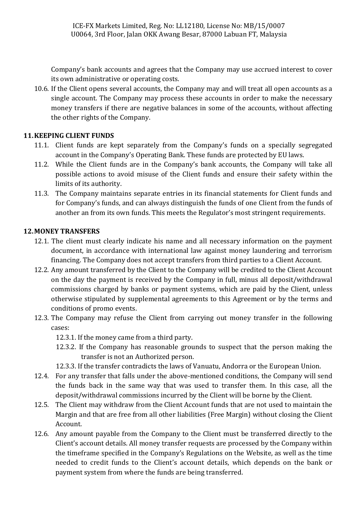Company's bank accounts and agrees that the Company may use accrued interest to cover its own administrative or operating costs.

10.6. If the Client opens several accounts, the Company may and will treat all open accounts as a single account. The Company may process these accounts in order to make the necessary money transfers if there are negative balances in some of the accounts, without affecting the other rights of the Company.

#### **11.KEEPING CLIENT FUNDS**

- 11.1. Client funds are kept separately from the Company's funds on a specially segregated account in the Company's Operating Bank. These funds are protected by EU laws.
- 11.2. While the Client funds are in the Company's bank accounts, the Company will take all possible actions to avoid misuse of the Client funds and ensure their safety within the limits of its authority.
- 11.3. The Company maintains separate entries in its financial statements for Client funds and for Company's funds, and can always distinguish the funds of one Client from the funds of another an from its own funds. This meets the Regulator's most stringent requirements.

#### **12.MONEY TRANSFERS**

- 12.1. The client must clearly indicate his name and all necessary information on the payment document, in accordance with international law against money laundering and terrorism financing. The Company does not accept transfers from third parties to a Client Account.
- 12.2. Any amount transferred by the Client to the Company will be credited to the Client Account on the day the payment is received by the Company in full, minus all deposit/withdrawal commissions charged by banks or payment systems, which are paid by the Client, unless otherwise stipulated by supplemental agreements to this Agreement or by the terms and conditions of promo events.
- 12.3. The Company may refuse the Client from carrying out money transfer in the following cases:

12.3.1. If the money came from a third party.

- 12.3.2. If the Company has reasonable grounds to suspect that the person making the transfer is not an Authorized person.
- 12.3.3. If the transfer contradicts the laws of Vanuatu, Andorra or the European Union.
- 12.4. For any transfer that falls under the above-mentioned conditions, the Company will send the funds back in the same way that was used to transfer them. In this case, all the deposit/withdrawal commissions incurred by the Client will be borne by the Client.
- 12.5. The Client may withdraw from the Client Account funds that are not used to maintain the Margin and that are free from all other liabilities (Free Margin) without closing the Client Account.
- 12.6. Any amount payable from the Company to the Client must be transferred directly to the Client's account details. All money transfer requests are processed by the Company within the timeframe specified in the Company's Regulations on the Website, as well as the time needed to credit funds to the Client's account details, which depends on the bank or payment system from where the funds are being transferred.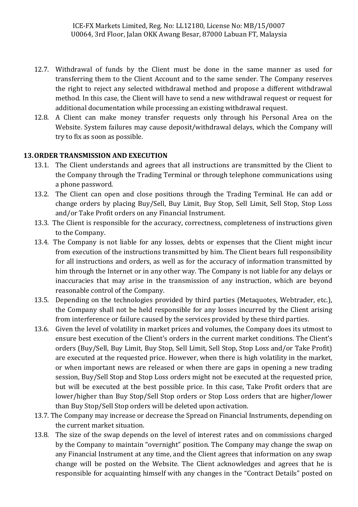- 12.7. Withdrawal of funds by the Client must be done in the same manner as used for transferring them to the Client Account and to the same sender. The Company reserves the right to reject any selected withdrawal method and propose a different withdrawal method. In this case, the Client will have to send a new withdrawal request or request for additional documentation while processing an existing withdrawal request.
- 12.8. A Client can make money transfer requests only through his Personal Area on the Website. System failures may cause deposit/withdrawal delays, which the Company will try to fix as soon as possible.

#### **13.ORDER TRANSMISSION AND EXECUTION**

- 13.1. The Client understands and agrees that all instructions are transmitted by the Client to the Company through the Trading Terminal or through telephone communications using a phone password.
- 13.2. The Client can open and close positions through the Trading Terminal. He can add or change orders by placing Buy/Sell, Buy Limit, Buy Stop, Sell Limit, Sell Stop, Stop Loss and/or Take Profit orders on any Financial Instrument.
- 13.3. The Client is responsible for the accuracy, correctness, completeness of instructions given to the Company.
- 13.4. The Company is not liable for any losses, debts or expenses that the Client might incur from execution of the instructions transmitted by him. The Client bears full responsibility for all instructions and orders, as well as for the accuracy of information transmitted by him through the Internet or in any other way. The Company is not liable for any delays or inaccuracies that may arise in the transmission of any instruction, which are beyond reasonable control of the Company.
- 13.5. Depending on the technologies provided by third parties (Metaquotes, Webtrader, etc.), the Company shall not be held responsible for any losses incurred by the Client arising from interference or failure caused by the services provided by these third parties.
- 13.6. Given the level of volatility in market prices and volumes, the Company does its utmost to ensure best execution of the Client's orders in the current market conditions. The Client's orders (Buy/Sell, Buy Limit, Buy Stop, Sell Limit, Sell Stop, Stop Loss and/or Take Profit) are executed at the requested price. However, when there is high volatility in the market, or when important news are released or when there are gaps in opening a new trading session, Buy/Sell Stop and Stop Loss orders might not be executed at the requested price, but will be executed at the best possible price. In this case, Take Profit orders that are lower/higher than Buy Stop/Sell Stop orders or Stop Loss orders that are higher/lower than Buy Stop/Sell Stop orders will be deleted upon activation.
- 13.7. The Company may increase or decrease the Spread on Financial Instruments, depending on the current market situation.
- 13.8. The size of the swap depends on the level of interest rates and on commissions charged by the Company to maintain "overnight" position. The Company may change the swap on any Financial Instrument at any time, and the Client agrees that information on any swap change will be posted on the Website. The Client acknowledges and agrees that he is responsible for acquainting himself with any changes in the "Contract Details" posted on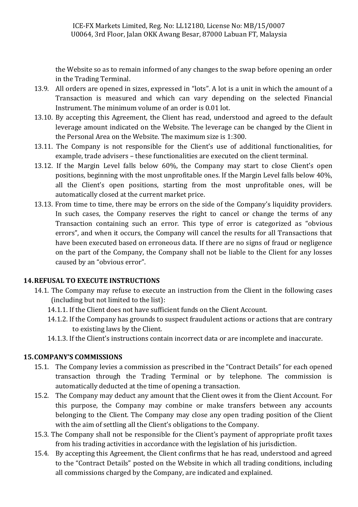the Website so as to remain informed of any changes to the swap before opening an order in the Trading Terminal.

- 13.9. All orders are opened in sizes, expressed in "lots". A lot is a unit in which the amount of a Transaction is measured and which can vary depending on the selected Financial Instrument. The minimum volume of an order is 0.01 lot.
- 13.10. By accepting this Agreement, the Client has read, understood and agreed to the default leverage amount indicated on the Website. The leverage can be changed by the Client in the Personal Area on the Website. The maximum size is 1:300.
- 13.11. The Company is not responsible for the Client's use of additional functionalities, for example, trade advisers – these functionalities are executed on the client terminal.
- 13.12. If the Margin Level falls below 60%, the Company may start to close Client's open positions, beginning with the most unprofitable ones. If the Margin Level falls below 40%, all the Client's open positions, starting from the most unprofitable ones, will be automatically closed at the current market price.
- 13.13. From time to time, there may be errors on the side of the Company's liquidity providers. In such cases, the Company reserves the right to cancel or change the terms of any Transaction containing such an error. This type of error is categorized as "obvious errors", and when it occurs, the Company will cancel the results for all Transactions that have been executed based on erroneous data. If there are no signs of fraud or negligence on the part of the Company, the Company shall not be liable to the Client for any losses caused by an "obvious error".

#### **14.REFUSAL TO EXECUTE INSTRUCTIONS**

- 14.1. The Company may refuse to execute an instruction from the Client in the following cases (including but not limited to the list):
	- 14.1.1. If the Client does not have sufficient funds on the Client Account.
	- 14.1.2. If the Company has grounds to suspect fraudulent actions or actions that are contrary to existing laws by the Client.
	- 14.1.3. If the Client's instructions contain incorrect data or are incomplete and inaccurate.

#### **15.COMPANY'S COMMISSIONS**

- 15.1. The Company levies a commission as prescribed in the "Contract Details" for each opened transaction through the Trading Terminal or by telephone. The commission is automatically deducted at the time of opening a transaction.
- 15.2. The Company may deduct any amount that the Client owes it from the Client Account. For this purpose, the Company may combine or make transfers between any accounts belonging to the Client. The Company may close any open trading position of the Client with the aim of settling all the Client's obligations to the Company.
- 15.3. The Company shall not be responsible for the Client's payment of appropriate profit taxes from his trading activities in accordance with the legislation of his jurisdiction.
- 15.4. By accepting this Agreement, the Client confirms that he has read, understood and agreed to the "Contract Details" posted on the Website in which all trading conditions, including all commissions charged by the Company, are indicated and explained.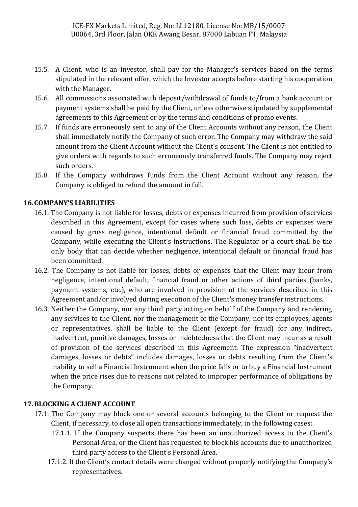- 15.5. A Client, who is an Investor, shall pay for the Manager's services based on the terms stipulated in the relevant offer, which the Investor accepts before starting his cooperation with the Manager.
- 15.6. All commissions associated with deposit/withdrawal of funds to/from a bank account or payment systems shall be paid by the Client, unless otherwise stipulated by supplemental agreements to this Agreement or by the terms and conditions of promo events.
- 15.7. If funds are erroneously sent to any of the Client Accounts without any reason, the Client shall immediately notify the Company of such error. The Company may withdraw the said amount from the Client Account without the Client's consent. The Client is not entitled to give orders with regards to such erroneously transferred funds. The Company may reject such orders.
- 15.8. If the Company withdraws funds from the Client Account without any reason, the Company is obliged to refund the amount in full.

#### **16.COMPANY'S LIABILITIES**

- 16.1. The Company is not liable for losses, debts or expenses incurred from provision of services described in this Agreement, except for cases where such loss, debts or expenses were caused by gross negligence, intentional default or financial fraud committed by the Company, while executing the Client's instructions. The Regulator or a court shall be the only body that can decide whether negligence, intentional default or financial fraud has been committed.
- 16.2. The Company is not liable for losses, debts or expenses that the Client may incur from negligence, intentional default, financial fraud or other actions of third parties (banks, payment systems, etc.), who are involved in provision of the services described in this Agreement and/or involved during execution of the Client's money transfer instructions.
- 16.3. Neither the Company, nor any third party acting on behalf of the Company and rendering any services to the Client, nor the management of the Company, nor its employees, agents or representatives, shall be liable to the Client (except for fraud) for any indirect, inadvertent, punitive damages, losses or indebtedness that the Client may incur as a result of provision of the services described in this Agreement. The expression "inadvertent damages, losses or debts" includes damages, losses or debts resulting from the Client's inability to sell a Financial Instrument when the price falls or to buy a Financial Instrument when the price rises due to reasons not related to improper performance of obligations by the Company.

#### **17.BLOCKING A CLIENT ACCOUNT**

- 17.1. The Company may block one or several accounts belonging to the Client or request the Client, if necessary, to close all open transactions immediately, in the following cases:
	- 17.1.1. If the Company suspects there has been an unauthorized access to the Client's Personal Area, or the Client has requested to block his accounts due to unauthorized third party access to the Client's Personal Area.
	- 17.1.2. If the Client's contact details were changed without properly notifying the Company's representatives.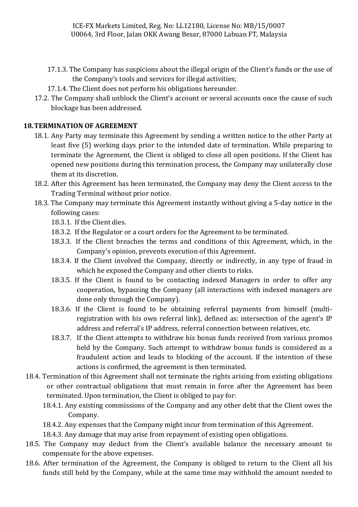- 17.1.3. The Company has suspicions about the illegal origin of the Client's funds or the use of the Company's tools and services for illegal activities;
- 17.1.4. The Client does not perform his obligations hereunder.
- 17.2. The Company shall unblock the Client's account or several accounts once the cause of such blockage has been addressed.

#### **18.TERMINATION OF AGREEMENT**

- 18.1. Any Party may terminate this Agreement by sending a written notice to the other Party at least five (5) working days prior to the intended date of termination. While preparing to terminate the Agreement, the Client is obliged to close all open positions. If the Client has opened new positions during this termination process, the Company may unilaterally close them at its discretion.
- 18.2. After this Agreement has been terminated, the Company may deny the Client access to the Trading Terminal without prior notice.
- 18.3. The Company may terminate this Agreement instantly without giving a 5-day notice in the following cases:
	- 18.3.1. If the Client dies.
	- 18.3.2. If the Regulator or a court orders for the Agreement to be terminated.
	- 18.3.3. If the Client breaches the terms and conditions of this Agreement, which, in the Company's opinion, prevents execution of this Agreement.
	- 18.3.4. If the Client involved the Company, directly or indirectly, in any type of fraud in which he exposed the Company and other clients to risks.
	- 18.3.5. If the Client is found to be contacting indexed Managers in order to offer any cooperation, bypassing the Company (all interactions with indexed managers are done only through the Company).
	- 18.3.6. If the Client is found to be obtaining referral payments from himself (multiregistration with his own referral link), defined as: intersection of the agent's IP address and referral's IP address, referral connection between relatives, etc.
	- 18.3.7. If the Client attempts to withdraw his bonus funds received from various promos held by the Company. Such attempt to withdraw bonus funds is considered as a fraudulent action and leads to blocking of the account. If the intention of these actions is confirmed, the agreement is then terminated.
- 18.4. Termination of this Agreement shall not terminate the rights arising from existing obligations or other contractual obligations that must remain in force after the Agreement has been terminated. Upon termination, the Client is obliged to pay for:
	- 18.4.1. Any existing commissions of the Company and any other debt that the Client owes the Company.
	- 18.4.2. Any expenses that the Company might incur from termination of this Agreement.
	- 18.4.3. Any damage that may arise from repayment of existing open obligations.
- 18.5. The Company may deduct from the Client's available balance the necessary amount to compensate for the above expenses.
- 18.6. After termination of the Agreement, the Company is obliged to return to the Client all his funds still held by the Company, while at the same time may withhold the amount needed to